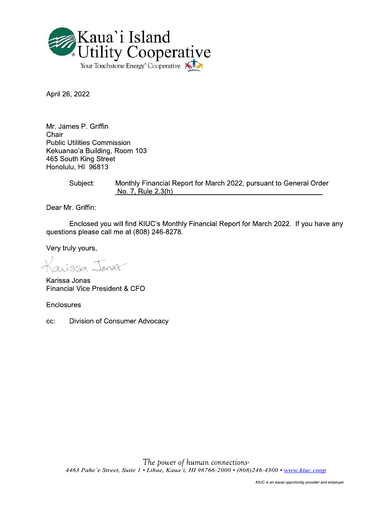

April 26, 2022

Mr. James P. Griffin Chair **Public Utilities Commission** Kekuanao'a Building, Room 103 465 South King Street Honolulu, HI 96813

> Subject: Monthly Financial Report for March 2022, pursuant to General Order No. 7, Rule 2.3(h)

Dear Mr. Griffin:

Enclosed you will find KIUC's Monthly Financial Report for March 2022. If you have any questions please call me at (808) 246-8278.

Very truly yours,

aissa Jonas

Karissa Jonas Financial Vice President & CFO

Enclosures

Division of Consumer Advocacy CC: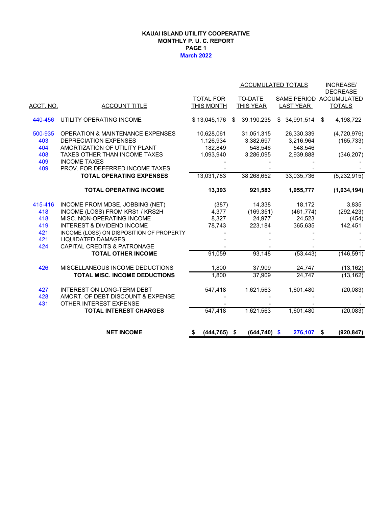## **KAUAI ISLAND UTILITY COOPERATIVE MONTHLY P. U. C. REPORT PAGE 1 March 2022**

|                  |                                             |                  |                         | ACCUMULATED TOTALS | <b>INCREASE/</b><br><b>DECREASE</b> |
|------------------|---------------------------------------------|------------------|-------------------------|--------------------|-------------------------------------|
|                  |                                             | <b>TOTAL FOR</b> | <b>TO-DATE</b>          |                    | SAME PERIOD ACCUMULATED             |
| <u>ACCT. NO.</u> | <b>ACCOUNT TITLE</b>                        | THIS MONTH       | THIS YEAR               | <b>LAST YEAR</b>   | <b>TOTALS</b>                       |
| 440-456          | UTILITY OPERATING INCOME                    | \$13,045,176     | 39,190,235<br>\$        | \$34,991,514       | 4,198,722<br>\$                     |
| 500-935          | <b>OPERATION &amp; MAINTENANCE EXPENSES</b> | 10,628,061       | 31,051,315              | 26,330,339         | (4,720,976)                         |
| 403              | <b>DEPRECIATION EXPENSES</b>                | 1,126,934        | 3,382,697               | 3,216,964          | (165, 733)                          |
| 404              | AMORTIZATION OF UTILITY PLANT               | 182,849          | 548,546                 | 548,546            |                                     |
| 408              | TAXES OTHER THAN INCOME TAXES               | 1,093,940        | 3,286,095               | 2,939,888          | (346, 207)                          |
| 409              | <b>INCOME TAXES</b>                         |                  |                         |                    |                                     |
| 409              | PROV. FOR DEFERRED INCOME TAXES             |                  |                         |                    |                                     |
|                  | <b>TOTAL OPERATING EXPENSES</b>             | 13,031,783       | 38,268,652              | 33,035,736         | (5,232,915)                         |
|                  | <b>TOTAL OPERATING INCOME</b>               | 13,393           | 921,583                 | 1,955,777          | (1,034,194)                         |
| 415-416          | INCOME FROM MDSE, JOBBING (NET)             | (387)            | 14,338                  | 18,172             | 3,835                               |
| 418              | INCOME (LOSS) FROM KRS1 / KRS2H             | 4,377            | (169, 351)              | (461, 774)         | (292, 423)                          |
| 418              | MISC. NON-OPERATING INCOME                  | 8,327            | 24,977                  | 24,523             | (454)                               |
| 419              | <b>INTEREST &amp; DIVIDEND INCOME</b>       | 78,743           | 223,184                 | 365,635            | 142,451                             |
| 421              | INCOME (LOSS) ON DISPOSITION OF PROPERTY    |                  |                         |                    |                                     |
| 421              | <b>LIQUIDATED DAMAGES</b>                   |                  |                         |                    |                                     |
| 424              | <b>CAPITAL CREDITS &amp; PATRONAGE</b>      |                  |                         |                    |                                     |
|                  | <b>TOTAL OTHER INCOME</b>                   | 91,059           | 93,148                  | (53, 443)          | (146, 591)                          |
| 426              | MISCELLANEOUS INCOME DEDUCTIONS             | 1,800            | 37,909                  | 24,747             | (13, 162)                           |
|                  | TOTAL MISC. INCOME DEDUCTIONS               | 1,800            | 37,909                  | 24,747             | (13, 162)                           |
| 427              | <b>INTEREST ON LONG-TERM DEBT</b>           | 547,418          | 1,621,563               | 1,601,480          | (20, 083)                           |
| 428              | AMORT. OF DEBT DISCOUNT & EXPENSE           |                  |                         |                    |                                     |
| 431              | OTHER INTEREST EXPENSE                      |                  |                         |                    |                                     |
|                  | <b>TOTAL INTEREST CHARGES</b>               | 547,418          | 1,621,563               | 1,601,480          | (20, 083)                           |
|                  | <b>NET INCOME</b>                           | (444, 765)<br>\$ | $(644, 740)$ \$<br>- \$ | 276,107            | \$<br>(920, 847)                    |
|                  |                                             |                  |                         |                    |                                     |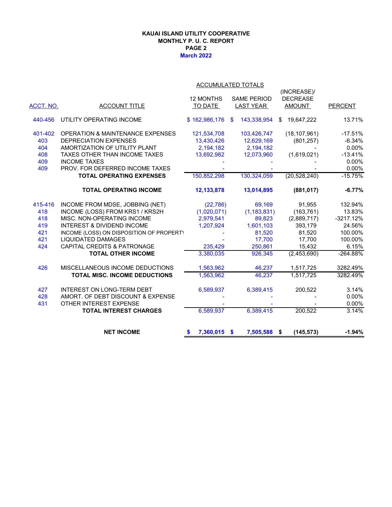## **March 2022 KAUAI ISLAND UTILITY COOPERATIVE MONTHLY P. U. C. REPORT PAGE 2**

|           |                                             | ACCUMULATED TOTALS |                    |                  |                |  |  |  |  |
|-----------|---------------------------------------------|--------------------|--------------------|------------------|----------------|--|--|--|--|
|           |                                             |                    |                    | (INCREASE)/      |                |  |  |  |  |
|           |                                             | <b>12 MONTHS</b>   | <b>SAME PERIOD</b> | <b>DECREASE</b>  |                |  |  |  |  |
| ACCT. NO. | <b>ACCOUNT TITLE</b>                        | TO DATE            | <b>LAST YEAR</b>   | <b>AMOUNT</b>    | <b>PERCENT</b> |  |  |  |  |
| 440-456   | UTILITY OPERATING INCOME                    | \$162,986,176      | 143,338,954<br>\$  | 19,647,222<br>\$ | 13.71%         |  |  |  |  |
| 401-402   | <b>OPERATION &amp; MAINTENANCE EXPENSES</b> | 121,534,708        | 103,426,747        | (18, 107, 961)   | $-17.51%$      |  |  |  |  |
| 403       | <b>DEPRECIATION EXPENSES</b>                | 13,430,426         | 12,629,169         | (801, 257)       | $-6.34%$       |  |  |  |  |
| 404       | AMORTIZATION OF UTILITY PLANT               | 2,194,182          | 2,194,182          |                  | 0.00%          |  |  |  |  |
| 408       | TAXES OTHER THAN INCOME TAXES               | 13,692,982         | 12,073,960         | (1,619,021)      | $-13.41%$      |  |  |  |  |
| 409       | <b>INCOME TAXES</b>                         |                    |                    |                  | 0.00%          |  |  |  |  |
| 409       | PROV. FOR DEFERRED INCOME TAXES             |                    |                    |                  | 0.00%          |  |  |  |  |
|           | <b>TOTAL OPERATING EXPENSES</b>             | 150,852,298        | 130,324,059        | (20, 528, 240)   | $-15.75%$      |  |  |  |  |
|           | <b>TOTAL OPERATING INCOME</b>               | 12,133,878         | 13,014,895         | (881, 017)       | $-6.77%$       |  |  |  |  |
| 415-416   | INCOME FROM MDSE, JOBBING (NET)             | (22, 786)          | 69,169             | 91,955           | 132.94%        |  |  |  |  |
| 418       | INCOME (LOSS) FROM KRS1 / KRS2H             | (1,020,071)        | (1, 183, 831)      | (163, 761)       | 13.83%         |  |  |  |  |
| 418       | MISC. NON-OPERATING INCOME                  | 2,979,541          | 89,823             | (2,889,717)      | $-3217.12%$    |  |  |  |  |
| 419       | <b>INTEREST &amp; DIVIDEND INCOME</b>       | 1,207,924          | 1,601,103          | 393.179          | 24.56%         |  |  |  |  |
| 421       | INCOME (LOSS) ON DISPOSITION OF PROPERT)    |                    | 81,520             | 81,520           | 100.00%        |  |  |  |  |
| 421       | <b>LIQUIDATED DAMAGES</b>                   |                    | 17,700             | 17,700           | 100.00%        |  |  |  |  |
| 424       | CAPITAL CREDITS & PATRONAGE                 | 235,429            | 250,861            | 15,432           | 6.15%          |  |  |  |  |
|           | <b>TOTAL OTHER INCOME</b>                   | 3,380,035          | 926.345            | (2,453,690)      | $-264.88%$     |  |  |  |  |
| 426       | MISCELLANEOUS INCOME DEDUCTIONS             | 1,563,962          | 46,237             | 1,517,725        | 3282.49%       |  |  |  |  |
|           | TOTAL MISC. INCOME DEDUCTIONS               | 1.563.962          | 46,237             | 1,517,725        | 3282.49%       |  |  |  |  |
| 427       | <b>INTEREST ON LONG-TERM DEBT</b>           | 6,589,937          | 6,389,415          | 200,522          | 3.14%          |  |  |  |  |
| 428       | AMORT. OF DEBT DISCOUNT & EXPENSE           |                    |                    |                  | 0.00%          |  |  |  |  |
| 431       | OTHER INTEREST EXPENSE                      |                    |                    |                  | 0.00%          |  |  |  |  |
|           | <b>TOTAL INTEREST CHARGES</b>               | 6,589,937          | 6,389,415          | 200,522          | 3.14%          |  |  |  |  |
|           | <b>NET INCOME</b>                           | 7,360,015 \$<br>\$ | 7,505,588 \$       | (145, 573)       | $-1.94%$       |  |  |  |  |
|           |                                             |                    |                    |                  |                |  |  |  |  |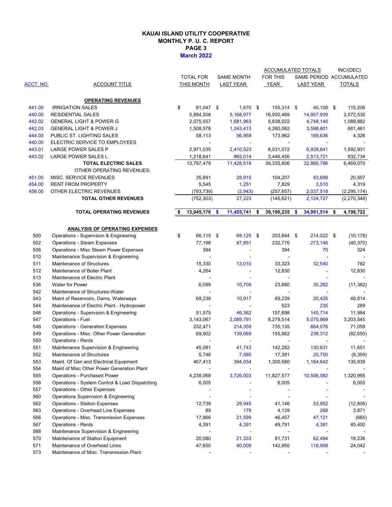## **March 2022 KAUAI ISLAND UTILITY COOPERATIVE MONTHLY P. U. C. REPORT PAGE 3**

|           |                                                |    |                  |                   | ACCUMULATED TOTALS    |                         | INC/(DEC)     |
|-----------|------------------------------------------------|----|------------------|-------------------|-----------------------|-------------------------|---------------|
|           |                                                |    | <b>TOTAL FOR</b> | <b>SAME MONTH</b> | FOR THIS              | SAME PERIOD ACCUMULATED |               |
| ACCT. NO. | ACCOUNT TITLE                                  |    | THIS MONTH       | LAST YEAR         | YEAR                  | <b>LAST YEAR</b>        | <b>TOTALS</b> |
|           |                                                |    |                  |                   |                       |                         |               |
|           | <b>OPERATING REVENUES</b>                      |    |                  |                   |                       |                         |               |
| 441.00    | <b>IRRIGATION SALES</b>                        | \$ | 81,047 \$        | $1,670$ \$        | $155,314$ \$          | 40,108 \$               | 115,206       |
| 440.00    | RESIDENTIAL SALES                              |    | 5,884,508        | 5,168,977         | 16,930,469            | 14,857,939              | 2,072,530     |
| 442.02    | <b>GENERAL LIGHT &amp; POWER G</b>             |    | 2,075,557        | 1,681,963         | 5,838,022             | 4,748,140               | 1,089,882     |
| 442.03    | <b>GENERAL LIGHT &amp; POWER J</b>             |    | 1,508,578        | 1,243,413         | 4,260,062             | 3,598,601               | 661,461       |
| 444.00    | PUBLIC ST. LIGHTING SALES                      |    | 58,113           | 56,959            | 173,962               | 169,636                 | 4,326         |
| 440.00    | ELECTRIC SERVICE TO EMPLOYEES                  |    |                  |                   |                       |                         |               |
| 443.01    | LARGE POWER SALES P                            |    | 2,971,035        | 2,410,523         | 8,531,572             | 6,938,641               | 1,592,931     |
| 443.02    | LARGE POWER SALES L                            |    | 1,218,641        | 865,014           | 3,446,456             | 2,513,721               | 932,734       |
|           | <b>TOTAL ELECTRIC SALES</b>                    |    | 13,797,479       | 11,428,518        | 39,335,856            | 32,866,786              | 6,469,070     |
|           | OTHER OPERATING REVENUES:                      |    |                  |                   |                       |                         |               |
| 451.00    | MISC. SERVICE REVENUES                         |    | 35,891           | 28,915            | 104,207               | 83,699                  | 20,507        |
| 454.00    | <b>RENT FROM PROPERTY</b>                      |    | 5,545            | 1,251             | 7,829                 | 3,510                   | 4,319         |
| 456.00    | OTHER ELECTRIC REVENUES                        |    | (793, 739)       | (2,943)           | (257, 657)            | 2,037,518               | (2, 295, 174) |
|           | <b>TOTAL OTHER REVENUES</b>                    |    | (752, 303)       | 27,223            | (145, 621)            | 2,124,727               | (2,270,348)   |
|           |                                                |    |                  |                   |                       |                         |               |
|           | <b>TOTAL OPERATING REVENUES</b>                | S  | 13,045,176 \$    | 11,455,741        | \$<br>$39,190,235$ \$ | 34,991,514 \$           | 4,198,722     |
|           |                                                |    |                  |                   |                       |                         |               |
|           | <b>ANALYSIS OF OPERATING EXPENSES</b>          |    |                  |                   |                       |                         |               |
| 500       | Operations - Supervsion & Engineering          | \$ | 66,115 \$        | 69,125 \$         | 203,844 \$            | 214,022 \$              | (10, 178)     |
| 502       | <b>Operations - Steam Expenses</b>             |    | 77,198           | 87,851            | 232,776               | 273,146                 | (40, 370)     |
| 506       | Operations - Misc Steam Power Expenses         |    | 394              |                   | 394                   | 70                      | 324           |
| 510       | Maintenance Supervision & Engineering          |    |                  |                   |                       |                         |               |
| 511       | Maintenance of Structures                      |    | 15,330           | 13,010            | 33,323                | 32,540                  | 782           |
| 512       | Maintenance of Boiler Plant                    |    | 4,264            |                   | 12,830                |                         | 12,830        |
| 513       | Maintenance of Electric Plant                  |    |                  |                   | $\overline{a}$        | $\sim$                  |               |
| 536       | Water for Power                                |    | 6,099            | 10,709            | 23,880                | 35,262                  | (11, 382)     |
| 542       | Maintenance of Structures-Water                |    |                  |                   |                       |                         |               |
| 543       | Maint of Reservoirs, Dams, Waterways           |    | 69,239           | 10,917            | 69,239                | 20,425                  | 48,814        |
| 544       | Maintenance of Electric Plant - Hydropower     |    |                  |                   | 523                   | 235                     | 289           |
| 546       | Operations - Supervsion & Engineering          |    | 51,575           | 46,362            | 157,698               | 145,714                 | 11,984        |
| 547       | Operations - Fuel                              |    | 3,143,067        | 2,089,791         | 8,279,514             | 5,075,969               | 3,203,545     |
| 548       | <b>Operations - Generation Expenses</b>        |    | 232,471          | 214,359           | 735,135               | 664,076                 | 71,059        |
| 549       | Operations - Misc. Other Power Generation      |    | 69,902           | 139,069           | 155,662               | 238,312                 | (82, 650)     |
| 550       | <b>Operations - Rents</b>                      |    |                  |                   |                       |                         |               |
| 551       | Maintenance Supervision & Engineering          |    | 45,081           | 41,743            | 142,282               | 130,631                 | 11,651        |
| 552       | Maintenance of Structures                      |    | 5,748            | 7,585             | 17,391                | 25,750                  |               |
|           |                                                |    |                  |                   |                       |                         | (8,359)       |
| 553       | Maint. Of Gen and Electrical Equipment         |    | 467,413          | 394,054           | 1,300,580             | 1,164,642               | 135,938       |
| 554       | Maint of Misc Other Power Generation Plant     |    |                  |                   |                       |                         | 1,320,995     |
| 555       | Operations - Purchased Power                   |    | 4,238,068        | 3,726,003         | 11,827,577            | 10,506,582              |               |
| 556       | Operations - System Control & Load Dispatching |    | 6,005            |                   | 6,005                 |                         | 6,005         |
| 557       | Operations - Other Expenses                    |    |                  |                   |                       |                         |               |
| 560       | Operations Supervision & Engineering           |    |                  |                   |                       |                         |               |
| 562       | <b>Operations - Station Expenses</b>           |    | 12,739           | 29,945            | 41,146                | 53,952                  | (12,806)      |
| 563       | Operations - Overhead Line Expenses            |    | 89               | 179               | 4,139                 | 268                     | 3,871         |
| 566       | Operations - Misc. Transmission Expenses       |    | 17,866           | 21,599            | 46,457                | 47,121                  | (665)         |
| 567       | <b>Operations - Rents</b>                      |    | 4,391            | 4,391             | 49,791                | 4,391                   | 45,400        |
| 568       | Maintenance Supervision & Engineering          |    |                  |                   |                       |                         |               |
| 570       | Maintenance of Station Equipment               |    | 20,080           | 21,333            | 81,731                | 62,494                  | 19,236        |
| 571       | Maintenance of Overhead Lines                  |    | 47,650           | 40,008            | 142,950               | 118,908                 | 24,042        |
| 573       | Maintenance of Misc. Transmission Plant        |    |                  |                   |                       |                         |               |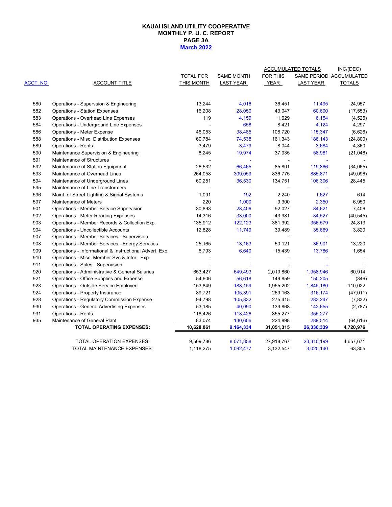#### **March 2022 KAUAI ISLAND UTILITY COOPERATIVE MONTHLY P. U. C. REPORT PAGE 3A**

|           |                                                         |                  |                   |                 | <b>ACCUMULATED TOTALS</b> | INC/(DEC)               |
|-----------|---------------------------------------------------------|------------------|-------------------|-----------------|---------------------------|-------------------------|
|           |                                                         | <b>TOTAL FOR</b> | <b>SAME MONTH</b> | <b>FOR THIS</b> |                           | SAME PERIOD ACCUMULATED |
| ACCT. NO. | <b>ACCOUNT TITLE</b>                                    | THIS MONTH       | <b>LAST YEAR</b>  | YEAR            | <b>LAST YEAR</b>          | <b>TOTALS</b>           |
| 580       | Operations - Supervsion & Engineering                   | 13,244           | 4,016             | 36,451          | 11,495                    | 24,957                  |
| 582       | <b>Operations - Station Expenses</b>                    | 16,208           | 28,050            | 43,047          | 60,600                    | (17, 553)               |
| 583       | Operations - Overhead Line Expenses                     | 119              | 4,159             | 1,629           | 6,154                     | (4, 525)                |
| 584       | Operations - Underground Line Expenses                  |                  | 658               | 8,421           | 4,124                     | 4,297                   |
| 586       | <b>Operations - Meter Expense</b>                       | 46,053           | 38,485            | 108,720         | 115,347                   | (6,626)                 |
| 588       | Operations - Misc. Distribution Expenses                | 60,784           | 74,538            | 161,343         | 186,143                   | (24, 800)               |
| 589       | <b>Operations - Rents</b>                               | 3,479            | 3,479             | 8,044           | 3,684                     | 4,360                   |
| 590       | Maintenance Supervision & Engineering                   | 8,245            | 19,974            | 37,935          | 58,981                    | (21,046)                |
| 591       | Maintenance of Structures                               |                  | ä,                | $\blacksquare$  |                           |                         |
| 592       | Maintenance of Station Equipment                        | 26,532           | 66,465            | 85,801          | 119,866                   | (34,065)                |
| 593       | Maintenance of Overhead Lines                           | 264,058          | 309,059           | 836,775         | 885,871                   | (49,096)                |
| 594       | Maintenance of Underground Lines                        | 60,251           | 36,530            | 134,751         | 106,306                   | 28,445                  |
| 595       | Maintenance of Line Transformers                        |                  |                   |                 |                           |                         |
| 596       | Maint. of Street Lighting & Signal Systems              | 1,091            | 192               | 2,240           | 1,627                     | 614                     |
| 597       | Maintenance of Meters                                   | 220              | 1,000             | 9,300           | 2,350                     | 6,950                   |
| 901       | Operations - Member Service Supervision                 | 30,893           | 28,406            | 92,027          | 84,621                    | 7,406                   |
| 902       | <b>Operations - Meter Reading Expenses</b>              | 14,316           | 33,000            | 43,981          | 84,527                    | (40, 545)               |
| 903       | Operations - Member Records & Collection Exp.           | 135,912          | 122,123           | 381,392         | 356,579                   | 24,813                  |
| 904       | Operations - Uncollectible Accounts                     | 12,828           | 11,749            | 39,489          | 35,669                    | 3,820                   |
| 907       | Operations - Member Services - Supervision              |                  | $\Delta$          |                 |                           |                         |
| 908       | Operations - Member Services - Energy Services          | 25,165           | 13,163            | 50,121          | 36,901                    | 13,220                  |
| 909       | Operations - Informational & Instructional Advert. Exp. | 6,793            | 6,640             | 15,439          | 13,786                    | 1,654                   |
| 910       | Operations - Misc. Member Svc & Infor. Exp.             |                  |                   |                 |                           |                         |
| 911       | Operations - Sales - Supervision                        |                  |                   |                 |                           |                         |
| 920       | Operations - Admiinistrative & General Salaries         | 653,427          | 649,493           | 2,019,860       | 1,958,946                 | 60,914                  |
| 921       | Operations - Office Supplies and Expense                | 54,606           | 56,618            | 149,859         | 150,205                   | (346)                   |
| 923       | Operations - Outside Service Employed                   | 153,849          | 188,159           | 1,955,202       | 1,845,180                 | 110,022                 |
| 924       | Operations - Property Insurance                         | 89,721           | 105,391           | 269,163         | 316,174                   | (47, 011)               |
| 928       | <b>Operations - Regulatory Commission Expense</b>       | 94,798           | 105,832           | 275,415         | 283,247                   | (7, 832)                |
| 930       | <b>Operations - General Advertising Expenses</b>        | 53,185           | 40,090            | 139,868         | 142,655                   | (2,787)                 |
| 931       | <b>Operations - Rents</b>                               | 118,426          | 118,426           | 355,277         | 355,277                   |                         |
| 935       | Maintenance of General Plant                            | 83,074           | 130,606           | 224,898         | 289,514                   | (64, 616)               |
|           | <b>TOTAL OPERATING EXPENSES:</b>                        | 10,628,061       | 9,164,334         | 31,051,315      | 26,330,339                | 4,720,976               |
|           | TOTAL OPERATION EXPENSES:                               | 9,509,786        | 8,071,858         | 27,918,767      | 23,310,199                | 4,657,671               |
|           | TOTAL MAINTENANCE EXPENSES:                             | 1,118,275        | 1,092,477         | 3,132,547       | 3,020,140                 | 63,305                  |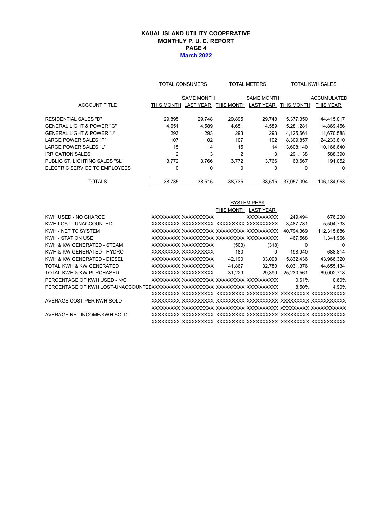## **KAUAI ISLAND UTILITY COOPERATIVE MONTHLY P. U. C. REPORT PAGE 4 March 2022**

|                                | TOTAL CONSUMERS<br><b>TOTAL METERS</b> |                   | <b>TOTAL KWH SALES</b> |                   |            |                    |
|--------------------------------|----------------------------------------|-------------------|------------------------|-------------------|------------|--------------------|
|                                |                                        | <b>SAME MONTH</b> |                        | <b>SAME MONTH</b> |            | <b>ACCUMULATED</b> |
| <b>ACCOUNT TITLE</b>           | THIS MONTH                             | LAST YEAR         | THIS MONTH             | <b>LAST YEAR</b>  | THIS MONTH | THIS YEAR          |
| RESIDENTIAL SALES "D"          | 29,895                                 | 29,748            | 29,895                 | 29,748            | 15,377,350 | 44,415,017         |
| GENERAL LIGHT & POWER "G"      | 4,651                                  | 4,589             | 4,651                  | 4,589             | 5,281,281  | 14,869,456         |
| GENERAL LIGHT & POWER "J"      | 293                                    | 293               | 293                    | 293               | 4,125,661  | 11,670,588         |
| <b>LARGE POWER SALES "P"</b>   | 107                                    | 102               | 107                    | 102               | 8,309,857  | 24,233,810         |
| LARGE POWER SALES "L"          | 15                                     | 14                | 15                     | 14                | 3.608.140  | 10,166,640         |
| IRRIGATION SALES               | $\overline{2}$                         | 3                 | $\overline{2}$         | 3                 | 291.138    | 588,390            |
| PUBLIC ST. LIGHTING SALES "SL" | 3.772                                  | 3.766             | 3.772                  | 3.766             | 63,667     | 191,052            |
| ELECTRIC SERVICE TO EMPLOYEES  | 0                                      | $\Omega$          | 0                      | $\Omega$          | 0          | 0                  |
| <b>TOTALS</b>                  | 38.735                                 | 38.515            | 38.735                 | 38.515            | 37.057.094 | 106.134.953        |

|                              | <b>SYSTEM PEAK</b>  |  |        |                      |            |             |  |  |
|------------------------------|---------------------|--|--------|----------------------|------------|-------------|--|--|
|                              |                     |  |        | THIS MONTH LAST YEAR |            |             |  |  |
| KWH USED - NO CHARGE         | XXXXXXXX XXXXXXXXXX |  |        | <b>XXXXXXXXXX</b>    | 249.494    | 676,200     |  |  |
| KWH LOST - UNACCOUNTED       |                     |  |        |                      | 3,487,781  | 5,504,733   |  |  |
| KWH - NET TO SYSTEM          |                     |  |        |                      | 40.794.369 | 112,315,886 |  |  |
| <b>KWH - STATION USE</b>     |                     |  |        |                      | 467.568    | 1,341,966   |  |  |
| KWH & KW GENERATED - STEAM   | XXXXXXXX XXXXXXXXXX |  | (503)  | (318)                | 0          | 0           |  |  |
| KWH & KW GENERATED - HYDRO   | XXXXXXXX XXXXXXXXXX |  | 180    | 0                    | 198.940    | 688,814     |  |  |
| KWH & KW GENERATED - DIESEL  | XXXXXXXX XXXXXXXXXX |  | 42,190 | 33,098               | 15,832,436 | 43,966,320  |  |  |
| TOTAL KWH & KW GENERATED     | XXXXXXXX XXXXXXXXXX |  | 41,867 | 32,780               | 16,031,376 | 44,655,134  |  |  |
| TOTAL KWH & KW PURCHASED     | XXXXXXXX XXXXXXXXXX |  | 31.229 | 29.390               | 25,230,561 | 69,002,718  |  |  |
| PERCENTAGE OF KWH USED - N/C |                     |  |        |                      | 0.61%      | 0.60%       |  |  |
|                              |                     |  |        |                      | 8.50%      | 4.90%       |  |  |
|                              |                     |  |        |                      |            |             |  |  |
| AVERAGE COST PER KWH SOLD    |                     |  |        |                      |            |             |  |  |
|                              |                     |  |        |                      |            |             |  |  |
| AVERAGE NET INCOME/KWH SOLD  |                     |  |        |                      |            |             |  |  |
|                              |                     |  |        |                      |            |             |  |  |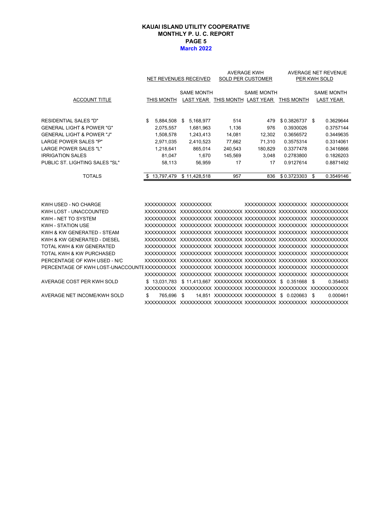#### **PAGE 5 March 2022 KAUAI ISLAND UTILITY COOPERATIVE MONTHLY P. U. C. REPORT**

|                                                                                                                                                                                                                                           |                                                                                         | NET REVENUES RECEIVED                                                                | <b>AVERAGE KWH</b><br><b>SOLD PER CUSTOMER</b>               |                                                          |                                                                                               | <b>AVERAGE NET REVENUE</b><br>PER KWH SOLD                                              |  |
|-------------------------------------------------------------------------------------------------------------------------------------------------------------------------------------------------------------------------------------------|-----------------------------------------------------------------------------------------|--------------------------------------------------------------------------------------|--------------------------------------------------------------|----------------------------------------------------------|-----------------------------------------------------------------------------------------------|-----------------------------------------------------------------------------------------|--|
| <b>ACCOUNT TITLE</b>                                                                                                                                                                                                                      | THIS MONTH                                                                              | <b>SAME MONTH</b>                                                                    |                                                              | <b>SAME MONTH</b><br>LAST YEAR THIS MONTH LAST YEAR      | THIS MONTH                                                                                    | <b>SAME MONTH</b><br><b>LAST YEAR</b>                                                   |  |
| <b>RESIDENTIAL SALES "D"</b><br><b>GENERAL LIGHT &amp; POWER "G"</b><br><b>GENERAL LIGHT &amp; POWER "J"</b><br><b>LARGE POWER SALES "P"</b><br><b>LARGE POWER SALES "L"</b><br><b>IRRIGATION SALES</b><br>PUBLIC ST. LIGHTING SALES "SL" | \$<br>5,884,508<br>2,075,557<br>1,508,578<br>2,971,035<br>1,218,641<br>81,047<br>58,113 | 5,168,977<br>\$<br>1,681,963<br>1,243,413<br>2,410,523<br>865,014<br>1,670<br>56,959 | 514<br>1,136<br>14,081<br>77,662<br>240,543<br>145,569<br>17 | 479<br>976<br>12,302<br>71,310<br>180,829<br>3,048<br>17 | $$0.3826737$ \$<br>0.3930026<br>0.3656572<br>0.3575314<br>0.3377478<br>0.2783800<br>0.9127614 | 0.3629644<br>0.3757144<br>0.3449635<br>0.3314061<br>0.3416866<br>0.1826203<br>0.8871492 |  |
| <b>TOTALS</b>                                                                                                                                                                                                                             | 13,797,479<br>S.                                                                        | \$11,428,518                                                                         | 957                                                          | 836                                                      | \$0.3723303                                                                                   | \$<br>0.3549146                                                                         |  |
| KWH USED - NO CHARGE<br>KWH LOST - UNACCOUNTED<br>KWH - NET TO SYSTEM<br>KWH - STATION USE<br>KWH & KW GENERATED - STEAM                                                                                                                  |                                                                                         | XXXXXXXXXX XXXXXXXXXX                                                                |                                                              |                                                          |                                                                                               | XXXXXXXXX XXXXXXXXX XXXXXXXXXXXX                                                        |  |
| KWH & KW GENERATED - DIESEL<br>TOTAL KWH & KW GENERATED<br>TOTAL KWH & KW PURCHASED                                                                                                                                                       |                                                                                         |                                                                                      |                                                              |                                                          |                                                                                               |                                                                                         |  |

| PERCENTAGE OF KWH USED - N/C |            |  |                                                             |  |  |  |          |
|------------------------------|------------|--|-------------------------------------------------------------|--|--|--|----------|
|                              |            |  |                                                             |  |  |  |          |
|                              |            |  |                                                             |  |  |  |          |
| AVERAGE COST PER KWH SOLD    |            |  | \$13.031.783 \$11.413.667 XXXXXXXXX XXXXXXXXX \$0.351668 \$ |  |  |  | 0.354453 |
|                              |            |  |                                                             |  |  |  |          |
| AVERAGE NET INCOME/KWH SOLD  | 765.696 \$ |  | 14.851 XXXXXXXXX XXXXXXXXXX \$ 0.020663 \$                  |  |  |  | 0.000461 |
|                              |            |  |                                                             |  |  |  |          |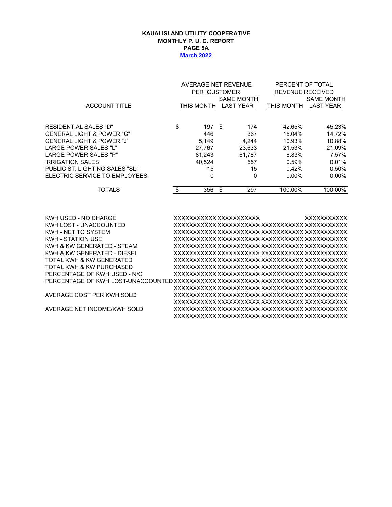#### **KAUAI ISLAND UTILITY COOPERATIVE MONTHLY P. U. C. REPORT PAGE 5A March 2022**

|                                |     | AVERAGE NET REVENUE |    |                   | PERCENT OF TOTAL        |                   |  |
|--------------------------------|-----|---------------------|----|-------------------|-------------------------|-------------------|--|
|                                |     | <b>PER CUSTOMER</b> |    |                   | <b>REVENUE RECEIVED</b> |                   |  |
|                                |     |                     |    | <b>SAME MONTH</b> |                         | <b>SAME MONTH</b> |  |
| <b>ACCOUNT TITLE</b>           |     | THIS MONTH          |    | <b>LAST YEAR</b>  | THIS MONTH              | <b>LAST YEAR</b>  |  |
|                                |     |                     |    |                   |                         |                   |  |
| RESIDENTIAL SALES "D"          | \$  | 197S                |    | 174               | 42.65%                  | 45.23%            |  |
| GENERAL LIGHT & POWER "G"      |     | 446                 |    | 367               | 15.04%                  | 14.72%            |  |
| GENERAL LIGHT & POWER "J"      |     | 5,149               |    | 4,244             | 10.93%                  | 10.88%            |  |
| LARGE POWER SALES "L"          |     | 27,767              |    | 23,633            | 21.53%                  | 21.09%            |  |
| LARGE POWER SALES "P"          |     | 81,243              |    | 61,787            | 8.83%                   | 7.57%             |  |
| IRRIGATION SALES               |     | 40.524              |    | 557               | 0.59%                   | 0.01%             |  |
| PUBLIC ST. LIGHTING SALES "SL" |     | 15                  |    | 15                | 0.42%                   | 0.50%             |  |
| ELECTRIC SERVICE TO EMPLOYEES  |     | 0                   |    | 0                 | $0.00\%$                | $0.00\%$          |  |
| <b>TOTALS</b>                  | \$. | 356                 | \$ | 297               | 100.00%                 | 100.00%           |  |
|                                |     |                     |    |                   |                         |                   |  |

KWH USED - NO CHARGE XXXXXXXXXXX XXXXXXXXXXX XXXXXXXXXXX KWH LOST - UNACCOUNTED XXXXXXXXXXX XXXXXXXXXXX XXXXXXXXXXX XXXXXXXXXXX KWH - NET TO SYSTEM XXXXXXXXXXX XXXXXXXXXXX XXXXXXXXXXX XXXXXXXXXXX KWH - STATION USE XXXXXXXXXXX XXXXXXXXXXX XXXXXXXXXXX XXXXXXXXXXX KWH & KW GENERATED - STEAM XXXXXXXXXXX XXXXXXXXXXX XXXXXXXXXXX XXXXXXXXXXX KWH & KW GENERATED - DIESEL XXXXXXXXXXX XXXXXXXXXXX XXXXXXXXXXX XXXXXXXXXXX TOTAL KWH & KW GENERATED XXXXXXXXXXX XXXXXXXXXXX XXXXXXXXXXX XXXXXXXXXXX TOTAL KWH & KW PURCHASED XXXXXXXXXXX XXXXXXXXXXX XXXXXXXXXXX XXXXXXXXXXX PERCENTAGE OF KWH USED - N/C XXXXXXXXXXX XXXXXXXXXXX XXXXXXXXXXX XXXXXXXXXXX PERCENTAGE OF KWH LOST-UNACCOUNTED XXXXXXXXXXX XXXXXXXXXXX XXXXXXXXXXX XXXXXXXXXXX XXXXXXXXXXX XXXXXXXXXXX XXXXXXXXXXX XXXXXXXXXXX AVERAGE COST PER KWH SOLD XXXXXXXXXXX XXXXXXXXXXX XXXXXXXXXXX XXXXXXXXXXX XXXXXXXXXXX XXXXXXXXXXX XXXXXXXXXXX XXXXXXXXXXX AVERAGE NET INCOME/KWH SOLD XXXXXXXXXXX XXXXXXXXXXX XXXXXXXXXXX XXXXXXXXXXX XXXXXXXXXXX XXXXXXXXXXX XXXXXXXXXXX XXXXXXXXXXX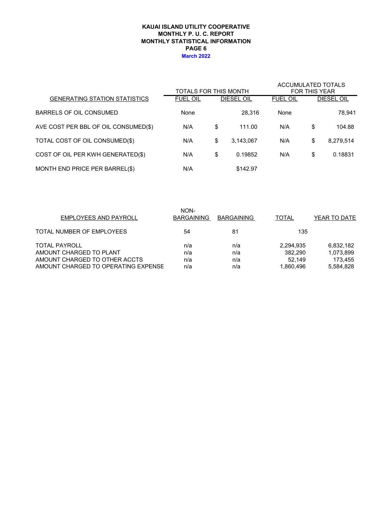### **KAUAI ISLAND UTILITY COOPERATIVE MONTHLY STATISTICAL INFORMATION MONTHLY P. U. C. REPORT PAGE 6 March 2022**

|                                      | TOTALS FOR THIS MONTH |                 | <b>ACCUMULATED TOTALS</b><br><b>FOR THIS YEAR</b> |    |                   |  |
|--------------------------------------|-----------------------|-----------------|---------------------------------------------------|----|-------------------|--|
| <b>GENERATING STATION STATISTICS</b> | <b>FUEL OIL</b>       | DIESEL OIL      | <b>FUEL OIL</b>                                   |    | <b>DIESEL OIL</b> |  |
| BARRELS OF OIL CONSUMED              | None                  | 28.316          | None                                              |    | 78.941            |  |
| AVE COST PER BBL OF OIL CONSUMED(\$) | N/A                   | \$<br>111.00    | N/A                                               | \$ | 104.88            |  |
| TOTAL COST OF OIL CONSUMED(\$)       | N/A                   | \$<br>3,143,067 | N/A                                               | \$ | 8,279,514         |  |
| COST OF OIL PER KWH GENERATED(\$)    | N/A                   | \$<br>0.19852   | N/A                                               | \$ | 0.18831           |  |
| MONTH END PRICE PER BARREL(\$)       | N/A                   | \$142.97        |                                                   |    |                   |  |

| NON-<br><b>BARGAINING</b> | <b>BARGAINING</b> | <b>TOTAL</b> | YEAR TO DATE |
|---------------------------|-------------------|--------------|--------------|
| 54                        | 81                | 135          |              |
| n/a                       | n/a               | 2,294,935    | 6,832,182    |
| n/a                       | n/a               | 382.290      | 1,073,899    |
| n/a                       | n/a               | 52.149       | 173.455      |
| n/a                       | n/a               | 1,860,496    | 5.584.828    |
|                           |                   |              |              |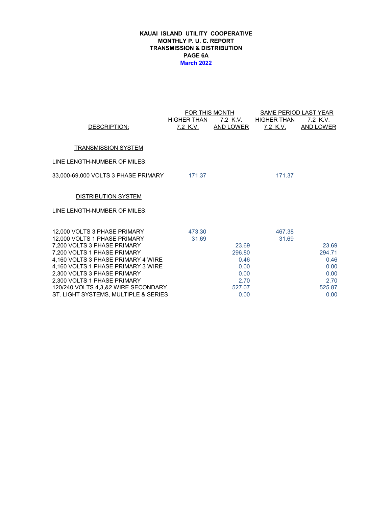#### **KAUAI ISLAND UTILITY COOPERATIVE MONTHLY P. U. C. REPORT TRANSMISSION & DISTRIBUTION PAGE 6A March 2022**

|                                                                          |                    | FOR THIS MONTH | SAME PERIOD LAST YEAR |                  |  |  |  |
|--------------------------------------------------------------------------|--------------------|----------------|-----------------------|------------------|--|--|--|
|                                                                          | <b>HIGHER THAN</b> | 7.2 K.V.       | HIGHER THAN           | $7.2$ K.V.       |  |  |  |
| DESCRIPTION:                                                             | <u>7.2 K.V.</u>    | AND LOWER      | <u>7.2 K.V.</u>       | <b>AND LOWER</b> |  |  |  |
|                                                                          |                    |                |                       |                  |  |  |  |
| <b>TRANSMISSION SYSTEM</b>                                               |                    |                |                       |                  |  |  |  |
| LINE LENGTH-NUMBER OF MILES:                                             |                    |                |                       |                  |  |  |  |
| 33,000-69,000 VOLTS 3 PHASE PRIMARY 171.37                               |                    |                | 171.37                |                  |  |  |  |
|                                                                          |                    |                |                       |                  |  |  |  |
| <b>DISTRIBUTION SYSTEM</b>                                               |                    |                |                       |                  |  |  |  |
| LINE LENGTH-NUMBER OF MILES:                                             |                    |                |                       |                  |  |  |  |
|                                                                          |                    |                |                       |                  |  |  |  |
| 12,000 VOLTS 3 PHASE PRIMARY                                             | 473.30             |                | 467.38                |                  |  |  |  |
| 12,000 VOLTS 1 PHASE PRIMARY                                             | 31.69              |                | 31.69                 |                  |  |  |  |
| 7,200 VOLTS 3 PHASE PRIMARY                                              |                    | 23.69          |                       | 23.69            |  |  |  |
| 7,200 VOLTS 1 PHASE PRIMARY                                              |                    | 296.80         |                       | 294.71           |  |  |  |
| 4,160 VOLTS 3 PHASE PRIMARY 4 WIRE<br>4,160 VOLTS 1 PHASE PRIMARY 3 WIRE |                    | 0.46<br>0.00   |                       | 0.46<br>0.00     |  |  |  |
| 2,300 VOLTS 3 PHASE PRIMARY                                              |                    | 0.00           |                       | 0.00             |  |  |  |
| 2,300 VOLTS 1 PHASE PRIMARY                                              |                    | 2.70           |                       | 2.70             |  |  |  |
| 120/240 VOLTS 4,3,&2 WIRE SECONDARY                                      |                    | 527.07         |                       | 525.87           |  |  |  |
| ST. LIGHT SYSTEMS, MULTIPLE & SERIES                                     |                    | 0.00           |                       | 0.00             |  |  |  |
|                                                                          |                    |                |                       |                  |  |  |  |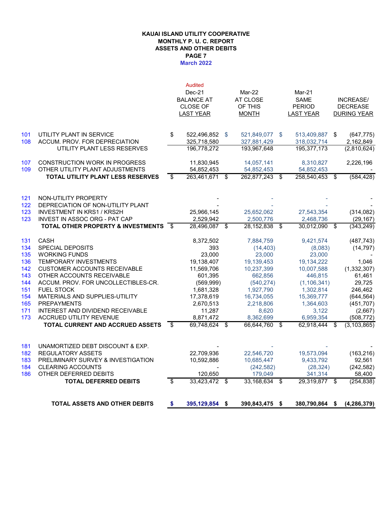### **KAUAI ISLAND UTILITY COOPERATIVE MONTHLY P. U. C. REPORT ASSETS AND OTHER DEBITS March 2022 PAGE 7**

|            | <b>TOTAL ASSETS AND OTHER DEBITS</b>                         | S    | 395,129,854 \$                       |      | 390,843,475         | - \$ | 380,790,864                  | - \$ | (4, 286, 379)                |
|------------|--------------------------------------------------------------|------|--------------------------------------|------|---------------------|------|------------------------------|------|------------------------------|
|            |                                                              |      |                                      |      |                     |      |                              |      |                              |
|            | <b>TOTAL DEFERRED DEBITS</b>                                 | s,   | 33,423,472                           | - \$ | 33,168,634 \$       |      | 29,319,877 \$                |      | (254, 838)                   |
| 186        | OTHER DEFERRED DEBITS                                        |      | 120.650                              |      | 179,049             |      | 341,314                      |      | 58,400                       |
| 184        | <b>CLEARING ACCOUNTS</b>                                     |      |                                      |      | (242, 582)          |      | (28, 324)                    |      | (242, 582)                   |
| 183        | PRELIMINARY SURVEY & INVESTIGATION                           |      | 10,592,886                           |      | 10,685,447          |      | 9,433,792                    |      | 92,561                       |
| 181<br>182 | UNAMORTIZED DEBT DISCOUNT & EXP.<br><b>REGULATORY ASSETS</b> |      | 22,709,936                           |      | 22,546,720          |      | 19,573,094                   |      | (163, 216)                   |
|            |                                                              |      |                                      |      |                     |      |                              |      |                              |
|            | <b>TOTAL CURRENT AND ACCRUED ASSETS</b>                      | \$   | 69,748,624                           | \$   | 66,644,760          | - \$ | 62,918,444                   | \$   | (3, 103, 865)                |
| 173        | ACCRUED UTILITY REVENUE                                      |      | 8,871,472                            |      | 8,362,699           |      | 6,959,354                    |      | (508, 772)                   |
| 171        | INTEREST AND DIVIDEND RECEIVABLE                             |      | 11,287                               |      | 8,620               |      | 3,122                        |      | (2,667)                      |
| 165        | <b>PREPAYMENTS</b>                                           |      | 2,670,513                            |      | 2,218,806           |      | 1,364,603                    |      | (451, 707)                   |
| 154        | MATERIALS AND SUPPLIES-UTILITY                               |      | 17,378,619                           |      | 16,734,055          |      | 15,369,777                   |      | (644, 564)                   |
| 151        | <b>FUEL STOCK</b>                                            |      | 1,681,328                            |      | 1,927,790           |      | 1,302,814                    |      | 246,462                      |
| 144        | ACCUM. PROV. FOR UNCOLLECTIBLES-CR.                          |      | (569, 999)                           |      | (540, 274)          |      | (1, 106, 341)                |      | 29,725                       |
| 143        | OTHER ACCOUNTS RECEIVABLE                                    |      | 601,395                              |      | 662,856             |      | 446,815                      |      | 61,461                       |
| 142        | <b>CUSTOMER ACCOUNTS RECEIVABLE</b>                          |      | 11,569,706                           |      | 10,237,399          |      | 10,007,588                   |      | (1, 332, 307)                |
| 136        | <b>TEMPORARY INVESTMENTS</b>                                 |      | 19,138,407                           |      | 19,139,453          |      | 19,134,222                   |      | 1.046                        |
| 135        | <b>WORKING FUNDS</b>                                         |      | 23,000                               |      | 23,000              |      | 23,000                       |      |                              |
| 134        | <b>SPECIAL DEPOSITS</b>                                      |      | 393                                  |      | (14, 403)           |      | (8,083)                      |      | (14, 797)                    |
| 131        | <b>CASH</b>                                                  |      | 8,372,502                            |      | 7,884,759           |      | 9,421,574                    |      | (487, 743)                   |
|            | <b>TOTAL OTHER PROPERTY &amp; INVESTMENTS</b>                | - \$ | 28.496.087                           | \$   | 28, 152, 838        | - \$ | 30.012.090                   | - \$ | $\overline{(343,249)}$       |
| 123        | INVEST IN ASSOC ORG - PAT CAP                                |      | 2,529,942                            |      | 2,500,776           |      | 2,468,736                    |      | (29, 167)                    |
| 123        | <b>INVESTMENT IN KRS1 / KRS2H</b>                            |      | 25,966,145                           |      | 25,652,062          |      | 27,543,354                   |      | (314, 082)                   |
| 122        | DEPRECIATION OF NON-UTILITY PLANT                            |      |                                      |      |                     |      |                              |      |                              |
| 121        | NON-UTILITY PROPERTY                                         |      |                                      |      |                     |      |                              |      |                              |
|            | <b>TOTAL UTILITY PLANT LESS RESERVES</b>                     | \$   | 263,461,671                          | \$   | 262,877,243 \$      |      | 258,540,453                  | \$   | (584, 428)                   |
| 109        | OTHER UTILITY PLANT ADJUSTMENTS                              |      | 54,852,453                           |      | 54,852,453          |      | 54,852,453                   |      |                              |
| 107        | <b>CONSTRUCTION WORK IN PROGRESS</b>                         |      | 11,830,945                           |      | 14,057,141          |      | 8,310,827                    |      | 2,226,196                    |
|            | UTILITY PLANT LESS RESERVES                                  |      | 196,778,272                          |      | 193,967,648         |      | 195, 377, 173                |      | (2,810,624)                  |
| 108        | ACCUM. PROV. FOR DEPRECIATION                                |      | 325,718,580                          |      | 327,881,429         |      | 318,032,714                  |      | 2,162,849                    |
| 101        | UTILITY PLANT IN SERVICE                                     | \$   | 522,496,852                          | \$   | 521,849,077 \$      |      | 513,409,887 \$               |      | (647, 775)                   |
|            |                                                              |      |                                      |      |                     |      |                              |      |                              |
|            |                                                              |      | <b>LAST YEAR</b>                     |      | <b>MONTH</b>        |      | <b>LAST YEAR</b>             |      | DURING YEAR                  |
|            |                                                              |      | <b>BALANCE AT</b><br><b>CLOSE OF</b> |      | AT CLOSE<br>OF THIS |      | <b>SAME</b><br><b>PERIOD</b> |      | INCREASE/<br><b>DECREASE</b> |
|            |                                                              |      | $Dec-21$                             |      | Mar-22              |      | Mar-21                       |      |                              |
|            |                                                              |      | <b>Audited</b>                       |      |                     |      |                              |      |                              |
|            |                                                              |      |                                      |      |                     |      |                              |      |                              |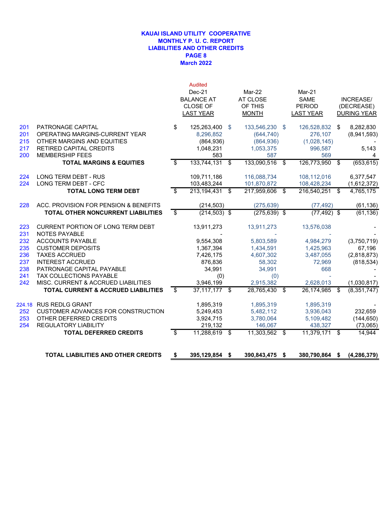#### **March 2022 KAUAI ISLAND UTILITY COOPERATIVE MONTHLY P. U. C. REPORT LIABILITIES AND OTHER CREDITS PAGE 8**

|            | <b>TOTAL LIABILITIES AND OTHER CREDITS</b>          | \$                       | 395,129,854 \$                | 390,843,475 \$             |     | 380,790,864 \$             |      | (4, 286, 379)            |
|------------|-----------------------------------------------------|--------------------------|-------------------------------|----------------------------|-----|----------------------------|------|--------------------------|
|            |                                                     |                          |                               |                            |     |                            |      |                          |
|            | <b>TOTAL DEFERRED CREDITS</b>                       | $\overline{\mathcal{S}}$ | 11,288,619 \$                 | 11,303,562 \$              |     | 11,379,171 \$              |      | 14,944                   |
| 254        | REGULATORY LIABILITY                                |                          | 219,132                       | 146,067                    |     | 438,327                    |      | (73,065)                 |
| 253        | OTHER DEFERRED CREDITS                              |                          | 3,924,715                     | 3,780,064                  |     | 5,109,482                  |      | (144, 650)               |
| 252        | <b>CUSTOMER ADVANCES FOR CONSTRUCTION</b>           |                          | 5,249,453                     | 5.482.112                  |     | 3,936,043                  |      | 232.659                  |
|            | 224.18 RUS REDLG GRANT                              |                          | 1,895,319                     | 1,895,319                  |     | 1,895,319                  |      |                          |
|            | <b>TOTAL CURRENT &amp; ACCRUED LIABILITIES</b>      | \$                       | $37,117,177$ \$               | 28,765,430                 | \$  | 26,174,985                 | \$   | (8, 351, 747)            |
| 242        | MISC. CURRENT & ACCRUED LIABILITIES                 |                          | 3,946,199                     | 2,915,382                  |     | 2,628,013                  |      | (1,030,817)              |
| 241        | TAX COLLECTIONS PAYABLE                             |                          | (0)                           | (0)                        |     |                            |      |                          |
| 238        | PATRONAGE CAPITAL PAYABLE                           |                          | 34,991                        | 34,991                     |     | 668                        |      |                          |
| 237        | <b>INTEREST ACCRUED</b>                             |                          | 876,836                       | 58,302                     |     | 72.969                     |      | (818, 534)               |
| 236        | <b>TAXES ACCRUED</b>                                |                          | 7,426,175                     | 4,607,302                  |     | 3,487,055                  |      | (2,818,873)              |
| 235        | <b>CUSTOMER DEPOSITS</b>                            |                          | 1,367,394                     | 1,434,591                  |     | 1,425,963                  |      | 67,196                   |
| 232        | <b>ACCOUNTS PAYABLE</b>                             |                          | 9,554,308                     | 5,803,589                  |     | 4,984,279                  |      | (3,750,719)              |
| 231        | <b>NOTES PAYABLE</b>                                |                          |                               |                            |     |                            |      |                          |
| 223        | CURRENT PORTION OF LONG TERM DEBT                   |                          | 13,911,273                    | 13,911,273                 |     | 13,576,038                 |      |                          |
|            | <b>TOTAL OTHER NONCURRENT LIABILITIES</b>           | \$                       | $(214, 503)$ \$               | $(275, 639)$ \$            |     | $(77, 492)$ \$             |      | (61, 136)                |
| 228        | ACC. PROVISION FOR PENSION & BENEFITS               |                          | (214, 503)                    | (275, 639)                 |     | (77, 492)                  |      | (61, 136)                |
|            |                                                     |                          |                               |                            |     |                            |      |                          |
|            | LONG TERM DEBT - CFC<br><b>TOTAL LONG TERM DEBT</b> | \$                       | 103,483,244<br>213,194,431 \$ | 101,870,872<br>217,959,606 | -S  | 108,428,234<br>216,540,251 | - \$ | (1,612,372)<br>4,765,175 |
| 224<br>224 | LONG TERM DEBT - RUS                                |                          | 109,711,186                   | 116,088,734                |     | 108,112,016                |      | 6,377,547                |
|            |                                                     |                          |                               |                            |     |                            |      |                          |
|            | <b>TOTAL MARGINS &amp; EQUITIES</b>                 | \$                       | $133,744,131$ \$              | 133,090,516                | \$  | 126,773,950                | \$   | (653, 615)               |
| 200        | <b>MEMBERSHIP FEES</b>                              |                          | 583                           | 587                        |     | 569                        |      | 4                        |
| 217        | <b>RETIRED CAPITAL CREDITS</b>                      |                          | 1,048,231                     | 1,053,375                  |     | 996,587                    |      | 5,143                    |
| 215        | OTHER MARGINS AND EQUITIES                          |                          | (864, 936)                    | (864, 936)                 |     | (1,028,145)                |      |                          |
| 201<br>201 | PATRONAGE CAPITAL<br>OPERATING MARGINS-CURRENT YEAR | \$                       | 125,263,400 \$<br>8,296,852   | 133,546,230<br>(644, 740)  | -\$ | 126,528,832<br>276,107     | \$   | 8,282,830<br>(8,941,593) |
|            |                                                     |                          |                               |                            |     |                            |      |                          |
|            |                                                     |                          | <b>LAST YEAR</b>              | <b>MONTH</b>               |     | <b>LAST YEAR</b>           |      | <b>DURING YEAR</b>       |
|            |                                                     |                          | CLOSE OF                      | OF THIS                    |     | <b>PERIOD</b>              |      | (DECREASE)               |
|            |                                                     |                          | <b>BALANCE AT</b>             | AT CLOSE                   |     | <b>SAME</b>                |      | <b>INCREASE/</b>         |
|            |                                                     |                          | $Dec-21$                      | Mar-22                     |     | Mar-21                     |      |                          |
|            |                                                     |                          | <b>Audited</b>                |                            |     |                            |      |                          |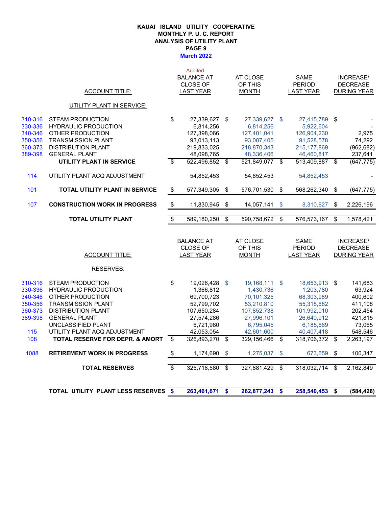#### **March 2022 KAUAI ISLAND UTILITY COOPERATIVE MONTHLY P. U. C. REPORT ANALYSIS OF UTILITY PLANT PAGE 9**

|                                                                              |                                                                                                                                                                                                                                                       |                                  | <b>Audited</b><br><b>BALANCE AT</b><br><b>CLOSE OF</b>                                                                     |                     | AT CLOSE<br>OF THIS                                                                                                             |                         | SAME<br><b>PERIOD</b>                                                                                                         |                         | <b>INCREASE/</b><br><b>DECREASE</b>                                                             |
|------------------------------------------------------------------------------|-------------------------------------------------------------------------------------------------------------------------------------------------------------------------------------------------------------------------------------------------------|----------------------------------|----------------------------------------------------------------------------------------------------------------------------|---------------------|---------------------------------------------------------------------------------------------------------------------------------|-------------------------|-------------------------------------------------------------------------------------------------------------------------------|-------------------------|-------------------------------------------------------------------------------------------------|
|                                                                              | <b>ACCOUNT TITLE:</b>                                                                                                                                                                                                                                 |                                  | <b>LAST YEAR</b>                                                                                                           |                     | <b>MONTH</b>                                                                                                                    |                         | <b>LAST YEAR</b>                                                                                                              |                         | <b>DURING YEAR</b>                                                                              |
|                                                                              | <b>UTILITY PLANT IN SERVICE:</b>                                                                                                                                                                                                                      |                                  |                                                                                                                            |                     |                                                                                                                                 |                         |                                                                                                                               |                         |                                                                                                 |
| 310-316                                                                      | <b>STEAM PRODUCTION</b>                                                                                                                                                                                                                               | \$                               | 27,339,627                                                                                                                 | \$                  | 27,339,627 \$                                                                                                                   |                         | 27,415,789                                                                                                                    | \$                      |                                                                                                 |
| 330-336                                                                      | <b>HYDRAULIC PRODUCTION</b>                                                                                                                                                                                                                           |                                  | 6,814,256                                                                                                                  |                     | 6,814,256                                                                                                                       |                         | 5,922,604                                                                                                                     |                         |                                                                                                 |
| 340-346                                                                      | OTHER PRODUCTION                                                                                                                                                                                                                                      |                                  | 127,398,066                                                                                                                |                     | 127,401,041                                                                                                                     |                         | 126,904,230                                                                                                                   |                         | 2,975                                                                                           |
| 350-356                                                                      | <b>TRANSMISSION PLANT</b>                                                                                                                                                                                                                             |                                  | 93,013,113                                                                                                                 |                     | 93,087,405                                                                                                                      |                         | 91,528,578                                                                                                                    |                         | 74,292                                                                                          |
| 360-373                                                                      | <b>DISTRIBUTION PLANT</b>                                                                                                                                                                                                                             |                                  | 219,833,025                                                                                                                |                     | 218,870,343                                                                                                                     |                         | 215, 177, 869                                                                                                                 |                         | (962, 682)                                                                                      |
| 389-398                                                                      | <b>GENERAL PLANT</b>                                                                                                                                                                                                                                  |                                  | 48,098,765                                                                                                                 |                     | 48,336,406                                                                                                                      |                         | 46,460,817                                                                                                                    |                         | 237,641                                                                                         |
|                                                                              | UTILITY PLANT IN SERVICE                                                                                                                                                                                                                              | \$                               | 522,496,852                                                                                                                | -\$                 | 521,849,077 \$                                                                                                                  |                         | 513,409,887 \$                                                                                                                |                         | (647, 775)                                                                                      |
| 114                                                                          | UTILITY PLANT ACQ ADJUSTMENT                                                                                                                                                                                                                          |                                  | 54,852,453                                                                                                                 |                     | 54,852,453                                                                                                                      |                         | 54,852,453                                                                                                                    |                         |                                                                                                 |
| 101                                                                          | <b>TOTAL UTILITY PLANT IN SERVICE</b>                                                                                                                                                                                                                 | $\boldsymbol{\mathsf{S}}$        | 577,349,305                                                                                                                | \$                  | 576,701,530                                                                                                                     | -\$                     | 568,262,340                                                                                                                   | \$                      | (647, 775)                                                                                      |
| 107                                                                          | <b>CONSTRUCTION WORK IN PROGRESS</b>                                                                                                                                                                                                                  | $\sqrt[6]{\frac{1}{2}}$          | 11,830,945                                                                                                                 | \$                  | 14,057,141                                                                                                                      | \$                      | 8,310,827                                                                                                                     | $\sqrt[6]{\frac{1}{2}}$ | 2,226,196                                                                                       |
|                                                                              | <b>TOTAL UTILITY PLANT</b>                                                                                                                                                                                                                            | $\overline{\mathcal{S}}$         | 589,180,250                                                                                                                | \$                  | 590,758,672                                                                                                                     | $\overline{\mathbf{s}}$ | 576, 573, 167                                                                                                                 | \$                      | 1,578,421                                                                                       |
|                                                                              | <b>ACCOUNT TITLE:</b>                                                                                                                                                                                                                                 |                                  | <b>BALANCE AT</b><br>CLOSE OF<br><b>LAST YEAR</b>                                                                          |                     | AT CLOSE<br>OF THIS<br><b>MONTH</b>                                                                                             |                         | <b>SAME</b><br><b>PERIOD</b><br><b>LAST YEAR</b>                                                                              |                         | <b>INCREASE/</b><br><b>DECREASE</b><br><b>DURING YEAR</b>                                       |
|                                                                              | RESERVES:                                                                                                                                                                                                                                             |                                  |                                                                                                                            |                     |                                                                                                                                 |                         |                                                                                                                               |                         |                                                                                                 |
| 310-316<br>330-336<br>340-346<br>350-356<br>360-373<br>389-398<br>115<br>108 | <b>STEAM PRODUCTION</b><br><b>HYDRAULIC PRODUCTION</b><br>OTHER PRODUCTION<br><b>TRANSMISSION PLANT</b><br><b>DISTRIBUTION PLANT</b><br><b>GENERAL PLANT</b><br>UNCLASSIFIED PLANT<br>UTILITY PLANT ACQ ADJUSTMENT<br>TOTAL RESERVE FOR DEPR. & AMORT | \$<br>\$                         | 19,026,428<br>1,366,812<br>69,700,723<br>52,799,702<br>107,650,284<br>27,574,286<br>6,721,980<br>42,053,054<br>326,893,270 | $\mathbf{\$}$<br>\$ | 19,168,111 \$<br>1,430,736<br>70,101,325<br>53,210,810<br>107,852,738<br>27,996,101<br>6,795,045<br>42,601,600<br>329, 156, 466 | - \$                    | 18,653,913 \$<br>1,203,780<br>68,303,989<br>55,318,682<br>101,992,010<br>26,640,912<br>6,185,669<br>40,407,418<br>318,706,372 | - \$                    | 141,683<br>63,924<br>400,602<br>411,108<br>202,454<br>421,815<br>73,065<br>548,546<br>2,263,197 |
| 1088                                                                         | <b>RETIREMENT WORK IN PROGRESS</b>                                                                                                                                                                                                                    | \$                               | 1,174,690                                                                                                                  | \$                  | 1,275,037                                                                                                                       | \$                      | 673,659                                                                                                                       | \$                      | 100,347                                                                                         |
|                                                                              | <b>TOTAL RESERVES</b>                                                                                                                                                                                                                                 | $\overline{\boldsymbol{\theta}}$ | 325,718,580                                                                                                                | \$                  | 327,881,429                                                                                                                     | \$                      | 318,032,714                                                                                                                   | \$                      | 2,162,849                                                                                       |
|                                                                              |                                                                                                                                                                                                                                                       |                                  |                                                                                                                            |                     |                                                                                                                                 |                         |                                                                                                                               |                         |                                                                                                 |

**TOTAL UTILITY PLANT LESS RESERVES \$ 262,877,243 263,461,671 \$ 258,540,453 \$ \$ (584,428)**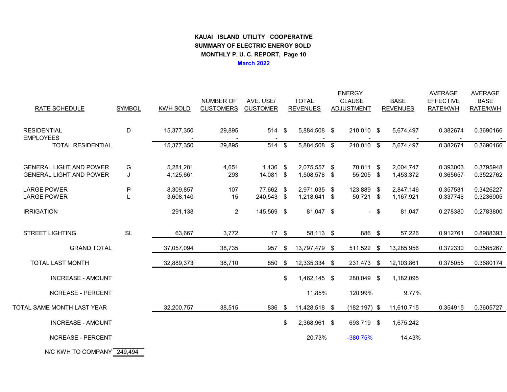# **KAUAI ISLAND UTILITY COOPERATIVE SUMMARY OF ELECTRIC ENERGY SOLD MONTHLY P. U. C. REPORT, Page 10March 2022**

| RATE SCHEDULE                                                    | SYMBOL    | <b>KWH SOLD</b>        | NUMBER OF<br><b>CUSTOMERS</b> | AVE, USE/<br><b>CUSTOMER</b> | <b>TOTAL</b><br><b>REVENUES</b> | <b>ENERGY</b><br>CLAUSE<br><b>ADJUSTMENT</b> |        | <b>BASE</b><br><b>REVENUES</b> | <b>AVERAGE</b><br><b>EFFECTIVE</b><br>RATE/KWH | <b>AVERAGE</b><br><b>BASE</b><br>RATE/KWH |
|------------------------------------------------------------------|-----------|------------------------|-------------------------------|------------------------------|---------------------------------|----------------------------------------------|--------|--------------------------------|------------------------------------------------|-------------------------------------------|
| <b>RESIDENTIAL</b><br><b>EMPLOYEES</b>                           | D         | 15,377,350             | 29,895                        | 514 \$                       | 5,884,508 \$                    | 210,010 \$                                   |        | 5,674,497                      | 0.382674                                       | 0.3690166                                 |
| <b>TOTAL RESIDENTIAL</b>                                         |           | 15,377,350             | 29,895                        | 514 \$                       | 5,884,508 \$                    | 210,010 \$                                   |        | 5,674,497                      | 0.382674                                       | 0.3690166                                 |
| <b>GENERAL LIGHT AND POWER</b><br><b>GENERAL LIGHT AND POWER</b> | G<br>J    | 5,281,281<br>4,125,661 | 4,651<br>293                  | $1,136$ \$<br>14,081 \$      | 2,075,557 \$<br>1,508,578 \$    | 70,811 \$<br>55,205 \$                       |        | 2,004,747<br>1,453,372         | 0.393003<br>0.365657                           | 0.3795948<br>0.3522762                    |
| <b>LARGE POWER</b>                                               | P         | 8,309,857              | 107                           | 77,662 \$                    | 2,971,035 \$                    | 123,889 \$                                   |        | 2,847,146                      | 0.357531                                       | 0.3426227                                 |
| <b>LARGE POWER</b>                                               |           | 3,608,140              | 15                            | 240,543 \$                   | 1,218,641 \$                    | 50,721 \$                                    |        | 1,167,921                      | 0.337748                                       | 0.3236905                                 |
| <b>IRRIGATION</b>                                                |           | 291,138                | $\overline{2}$                | 145,569 \$                   | 81,047 \$                       |                                              | $-$ \$ | 81,047                         | 0.278380                                       | 0.2783800                                 |
| <b>STREET LIGHTING</b>                                           | <b>SL</b> | 63,667                 | 3,772                         | $17 \quad$                   | 58,113 \$                       | 886 \$                                       |        | 57,226                         | 0.912761                                       | 0.8988393                                 |
| <b>GRAND TOTAL</b>                                               |           | 37,057,094             | 38,735                        | 957 \$                       | 13,797,479 \$                   | 511,522 \$                                   |        | 13,285,956                     | 0.372330                                       | 0.3585267                                 |
| TOTAL LAST MONTH                                                 |           | 32,889,373             | 38,710                        | 850 \$                       | 12,335,334 \$                   | 231,473 \$                                   |        | 12,103,861                     | 0.375055                                       | 0.3680174                                 |
| <b>INCREASE - AMOUNT</b>                                         |           |                        |                               |                              | \$<br>1,462,145 \$              | 280,049 \$                                   |        | 1,182,095                      |                                                |                                           |
| <b>INCREASE - PERCENT</b>                                        |           |                        |                               |                              | 11.85%                          | 120.99%                                      |        | 9.77%                          |                                                |                                           |
| TOTAL SAME MONTH LAST YEAR                                       |           | 32,200,757             | 38,515                        | 836 \$                       | 11,428,518 \$                   | $(182, 197)$ \$                              |        | 11,610,715                     | 0.354915                                       | 0.3605727                                 |
| <b>INCREASE - AMOUNT</b>                                         |           |                        |                               |                              | \$<br>2,368,961 \$              | 693,719 \$                                   |        | 1,675,242                      |                                                |                                           |
| <b>INCREASE - PERCENT</b>                                        |           |                        |                               |                              | 20.73%                          | $-380.75%$                                   |        | 14.43%                         |                                                |                                           |
|                                                                  |           |                        |                               |                              |                                 |                                              |        |                                |                                                |                                           |

N/C KWH TO COMPANY <mark>\_249,494</mark>